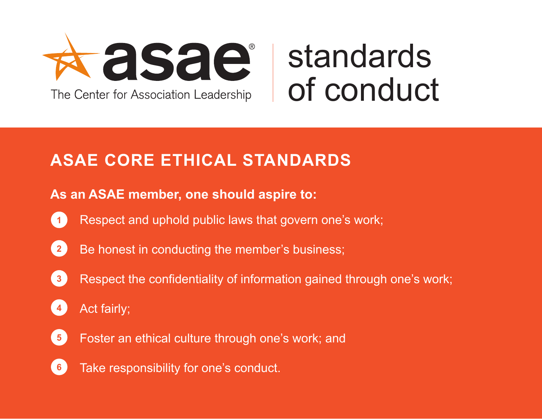

## standards of conduct

## **ASAE CORE ETHICAL STANDARDS**

## **As an ASAE member, one should aspire to:**

- **1** Respect and uphold public laws that govern one's work;
- Be honest in conducting the member's business; **2**
- Respect the confidentiality of information gained through one's work; **3**
- Act fairly; **4**
- Foster an ethical culture through one's work; and **5**
- Take responsibility for one's conduct. **6**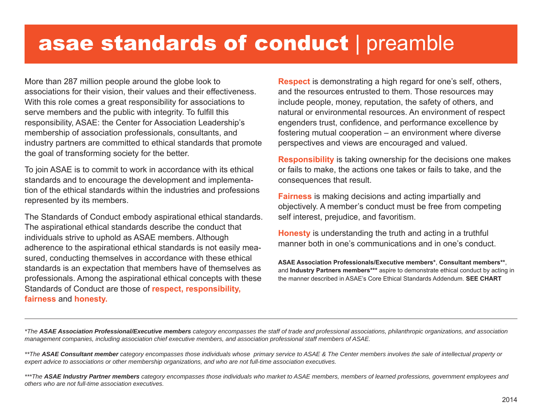## asae standards of conduct | preamble

More than 287 million people around the globe look to associations for their vision, their values and their effectiveness. With this role comes a great responsibility for associations to serve members and the public with integrity. To fulfill this responsibility, ASAE: the Center for Association Leadership's membership of association professionals, consultants, and industry partners are committed to ethical standards that promote the goal of transforming society for the better.

To join ASAE is to commit to work in accordance with its ethical standards and to encourage the development and implementation of the ethical standards within the industries and professions represented by its members.

The Standards of Conduct embody aspirational ethical standards. The aspirational ethical standards describe the conduct that individuals strive to uphold as ASAE members. Although adherence to the aspirational ethical standards is not easily measured, conducting themselves in accordance with these ethical standards is an expectation that members have of themselves as professionals. Among the aspirational ethical concepts with these Standards of Conduct are those of **respect, responsibility, fairness** and **honesty.**

**Respect** is demonstrating a high regard for one's self, others, and the resources entrusted to them. Those resources may include people, money, reputation, the safety of others, and natural or environmental resources. An environment of respect engenders trust, confidence, and performance excellence by fostering mutual cooperation – an environment where diverse perspectives and views are encouraged and valued.

**Responsibility** is taking ownership for the decisions one makes or fails to make, the actions one takes or fails to take, and the consequences that result.

**Fairness** is making decisions and acting impartially and objectively. A member's conduct must be free from competing self interest, prejudice, and favoritism.

**Honesty** is understanding the truth and acting in a truthful manner both in one's communications and in one's conduct.

**ASAE Association Professionals/Executive members\***, **Consultant members\*\***, and **Industry Partners members\*\*\*** aspire to demonstrate ethical conduct by acting in the manner described in ASAE's Core Ethical Standards Addendum. **SEE CHART**

*\*The ASAE Association Professional/Executive members category encompasses the staff of trade and professional associations, philanthropic organizations, and association management companies, including association chief executive members, and association professional staff members of ASAE.*

*\*\*The ASAE Consultant member category encompasses those individuals whose primary service to ASAE & The Center members involves the sale of intellectual property or expert advice to associations or other membership organizations, and who are not full-time association executives.*

*\*\*\*The ASAE Industry Partner members category encompasses those individuals who market to ASAE members, members of learned professions, government employees and others who are not full-time association executives.*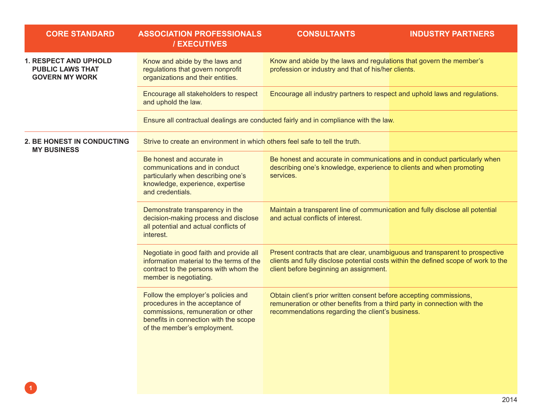| <b>CORE STANDARD</b>                                                             | <b>ASSOCIATION PROFESSIONALS</b><br>/ EXECUTIVES                                                                                                                                    | <b>CONSULTANTS</b>                                                                                                                                                                                           | <b>INDUSTRY PARTNERS</b> |
|----------------------------------------------------------------------------------|-------------------------------------------------------------------------------------------------------------------------------------------------------------------------------------|--------------------------------------------------------------------------------------------------------------------------------------------------------------------------------------------------------------|--------------------------|
| <b>1. RESPECT AND UPHOLD</b><br><b>PUBLIC LAWS THAT</b><br><b>GOVERN MY WORK</b> | Know and abide by the laws and<br>regulations that govern nonprofit<br>organizations and their entities.                                                                            | Know and abide by the laws and regulations that govern the member's<br>profession or industry and that of his/her clients.                                                                                   |                          |
|                                                                                  | Encourage all stakeholders to respect<br>and uphold the law.                                                                                                                        | Encourage all industry partners to respect and uphold laws and regulations.                                                                                                                                  |                          |
|                                                                                  |                                                                                                                                                                                     | Ensure all contractual dealings are conducted fairly and in compliance with the law.                                                                                                                         |                          |
| 2. BE HONEST IN CONDUCTING<br><b>MY BUSINESS</b>                                 | Strive to create an environment in which others feel safe to tell the truth.                                                                                                        |                                                                                                                                                                                                              |                          |
|                                                                                  | Be honest and accurate in<br>communications and in conduct<br>particularly when describing one's<br>knowledge, experience, expertise<br>and credentials.                            | Be honest and accurate in communications and in conduct particularly when<br>describing one's knowledge, experience to clients and when promoting<br>services.                                               |                          |
|                                                                                  | Demonstrate transparency in the<br>decision-making process and disclose<br>all potential and actual conflicts of<br>interest.                                                       | Maintain a transparent line of communication and fully disclose all potential<br>and actual conflicts of interest.                                                                                           |                          |
|                                                                                  | Negotiate in good faith and provide all<br>information material to the terms of the<br>contract to the persons with whom the<br>member is negotiating.                              | Present contracts that are clear, unambiguous and transparent to prospective<br>clients and fully disclose potential costs within the defined scope of work to the<br>client before beginning an assignment. |                          |
|                                                                                  | Follow the employer's policies and<br>procedures in the acceptance of<br>commissions, remuneration or other<br>benefits in connection with the scope<br>of the member's employment. | Obtain client's prior written consent before accepting commissions,<br>remuneration or other benefits from a third party in connection with the<br>recommendations regarding the client's business.          |                          |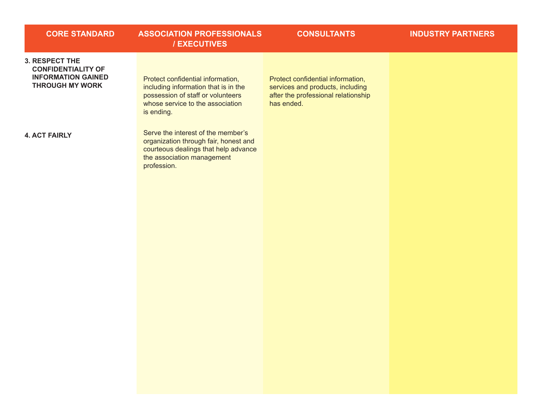| <b>CORE STANDARD</b>                                                                                      | <b>ASSOCIATION PROFESSIONALS</b><br>/ EXECUTIVES                                                                                                                 | <b>CONSULTANTS</b>                                                                                                         | <b>INDUSTRY PARTNERS</b> |
|-----------------------------------------------------------------------------------------------------------|------------------------------------------------------------------------------------------------------------------------------------------------------------------|----------------------------------------------------------------------------------------------------------------------------|--------------------------|
| <b>3. RESPECT THE</b><br><b>CONFIDENTIALITY OF</b><br><b>INFORMATION GAINED</b><br><b>THROUGH MY WORK</b> | Protect confidential information,<br>including information that is in the<br>possession of staff or volunteers<br>whose service to the association<br>is ending. | Protect confidential information,<br>services and products, including<br>after the professional relationship<br>has ended. |                          |
| <b>4. ACT FAIRLY</b>                                                                                      | Serve the interest of the member's<br>organization through fair, honest and<br>courteous dealings that help advance<br>the association management<br>profession. |                                                                                                                            |                          |
|                                                                                                           |                                                                                                                                                                  |                                                                                                                            |                          |

. The contract of the contract of the contract of the contract of the contract of the contract of the contract of the contract of the contract of the contract of the contract of the contract of the contract of the contrac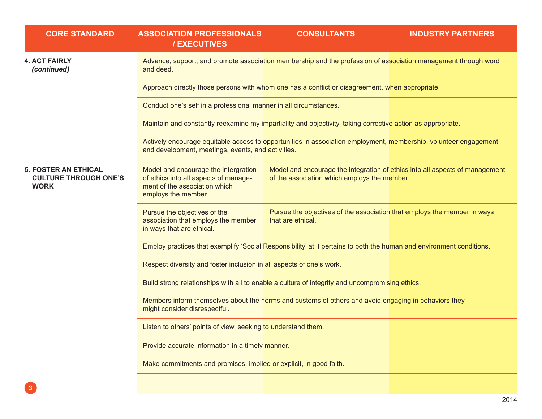| <b>CORE STANDARD</b>                                                       | <b>ASSOCIATION PROFESSIONALS</b><br>/ EXECUTIVES                                                                                      | <b>CONSULTANTS</b>                                                                                                           | <b>INDUSTRY PARTNERS</b> |
|----------------------------------------------------------------------------|---------------------------------------------------------------------------------------------------------------------------------------|------------------------------------------------------------------------------------------------------------------------------|--------------------------|
| <b>4. ACT FAIRLY</b><br>(continued)                                        | and deed.                                                                                                                             | Advance, support, and promote association membership and the profession of association management through word               |                          |
|                                                                            |                                                                                                                                       | Approach directly those persons with whom one has a conflict or disagreement, when appropriate.                              |                          |
|                                                                            | Conduct one's self in a professional manner in all circumstances.                                                                     |                                                                                                                              |                          |
|                                                                            |                                                                                                                                       | Maintain and constantly reexamine my impartiality and objectivity, taking corrective action as appropriate.                  |                          |
|                                                                            | and development, meetings, events, and activities.                                                                                    | Actively encourage equitable access to opportunities in association employment, membership, volunteer engagement             |                          |
| <b>5. FOSTER AN ETHICAL</b><br><b>CULTURE THROUGH ONE'S</b><br><b>WORK</b> | Model and encourage the intergration<br>of ethics into all aspects of manage-<br>ment of the association which<br>employs the member. | Model and encourage the integration of ethics into all aspects of management<br>of the association which employs the member. |                          |
|                                                                            | Pursue the objectives of the<br>association that employs the member<br>in ways that are ethical.                                      | Pursue the objectives of the association that employs the member in ways<br>that are ethical.                                |                          |
|                                                                            |                                                                                                                                       | Employ practices that exemplify 'Social Responsibility' at it pertains to both the human and environment conditions.         |                          |
|                                                                            | Respect diversity and foster inclusion in all aspects of one's work.                                                                  |                                                                                                                              |                          |
|                                                                            |                                                                                                                                       | Build strong relationships with all to enable a culture of integrity and uncompromising ethics.                              |                          |
|                                                                            | might consider disrespectful.                                                                                                         | Members inform themselves about the norms and customs of others and avoid engaging in behaviors they                         |                          |
|                                                                            | Listen to others' points of view, seeking to understand them.                                                                         |                                                                                                                              |                          |
|                                                                            | Provide accurate information in a timely manner.                                                                                      |                                                                                                                              |                          |
|                                                                            | Make commitments and promises, implied or explicit, in good faith.                                                                    |                                                                                                                              |                          |
|                                                                            |                                                                                                                                       |                                                                                                                              |                          |